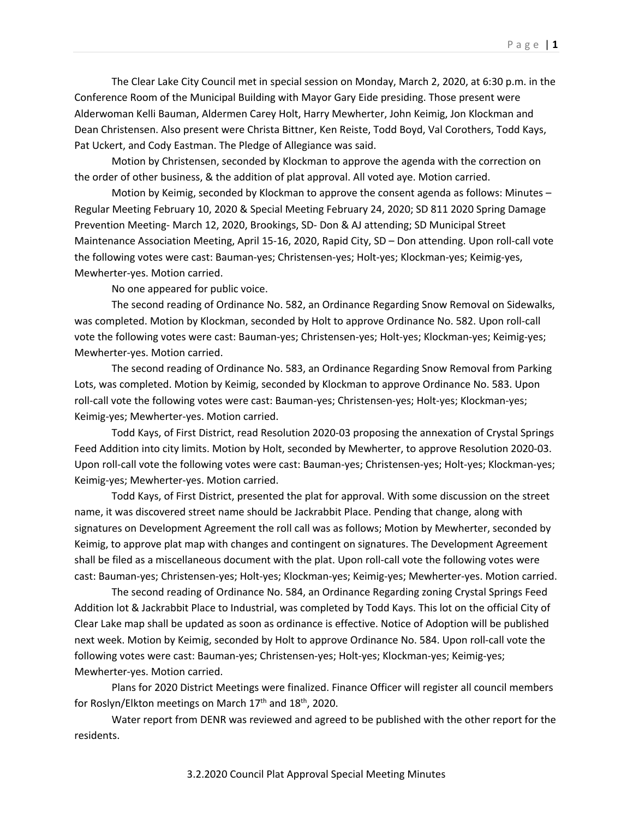The Clear Lake City Council met in special session on Monday, March 2, 2020, at 6:30 p.m. in the Conference Room of the Municipal Building with Mayor Gary Eide presiding. Those present were Alderwoman Kelli Bauman, Aldermen Carey Holt, Harry Mewherter, John Keimig, Jon Klockman and Dean Christensen. Also present were Christa Bittner, Ken Reiste, Todd Boyd, Val Corothers, Todd Kays, Pat Uckert, and Cody Eastman. The Pledge of Allegiance was said.

Motion by Christensen, seconded by Klockman to approve the agenda with the correction on the order of other business, & the addition of plat approval. All voted aye. Motion carried.

Motion by Keimig, seconded by Klockman to approve the consent agenda as follows: Minutes – Regular Meeting February 10, 2020 & Special Meeting February 24, 2020; SD 811 2020 Spring Damage Prevention Meeting- March 12, 2020, Brookings, SD- Don & AJ attending; SD Municipal Street Maintenance Association Meeting, April 15-16, 2020, Rapid City, SD – Don attending. Upon roll-call vote the following votes were cast: Bauman-yes; Christensen-yes; Holt-yes; Klockman-yes; Keimig-yes, Mewherter-yes. Motion carried.

No one appeared for public voice.

The second reading of Ordinance No. 582, an Ordinance Regarding Snow Removal on Sidewalks, was completed. Motion by Klockman, seconded by Holt to approve Ordinance No. 582. Upon roll-call vote the following votes were cast: Bauman-yes; Christensen-yes; Holt-yes; Klockman-yes; Keimig-yes; Mewherter-yes. Motion carried.

The second reading of Ordinance No. 583, an Ordinance Regarding Snow Removal from Parking Lots, was completed. Motion by Keimig, seconded by Klockman to approve Ordinance No. 583. Upon roll-call vote the following votes were cast: Bauman-yes; Christensen-yes; Holt-yes; Klockman-yes; Keimig-yes; Mewherter-yes. Motion carried.

Todd Kays, of First District, read Resolution 2020-03 proposing the annexation of Crystal Springs Feed Addition into city limits. Motion by Holt, seconded by Mewherter, to approve Resolution 2020-03. Upon roll-call vote the following votes were cast: Bauman-yes; Christensen-yes; Holt-yes; Klockman-yes; Keimig-yes; Mewherter-yes. Motion carried.

Todd Kays, of First District, presented the plat for approval. With some discussion on the street name, it was discovered street name should be Jackrabbit Place. Pending that change, along with signatures on Development Agreement the roll call was as follows; Motion by Mewherter, seconded by Keimig, to approve plat map with changes and contingent on signatures. The Development Agreement shall be filed as a miscellaneous document with the plat. Upon roll-call vote the following votes were cast: Bauman-yes; Christensen-yes; Holt-yes; Klockman-yes; Keimig-yes; Mewherter-yes. Motion carried.

The second reading of Ordinance No. 584, an Ordinance Regarding zoning Crystal Springs Feed Addition lot & Jackrabbit Place to Industrial, was completed by Todd Kays. This lot on the official City of Clear Lake map shall be updated as soon as ordinance is effective. Notice of Adoption will be published next week. Motion by Keimig, seconded by Holt to approve Ordinance No. 584. Upon roll-call vote the following votes were cast: Bauman-yes; Christensen-yes; Holt-yes; Klockman-yes; Keimig-yes; Mewherter-yes. Motion carried.

Plans for 2020 District Meetings were finalized. Finance Officer will register all council members for Roslyn/Elkton meetings on March 17<sup>th</sup> and 18<sup>th</sup>, 2020.

Water report from DENR was reviewed and agreed to be published with the other report for the residents.